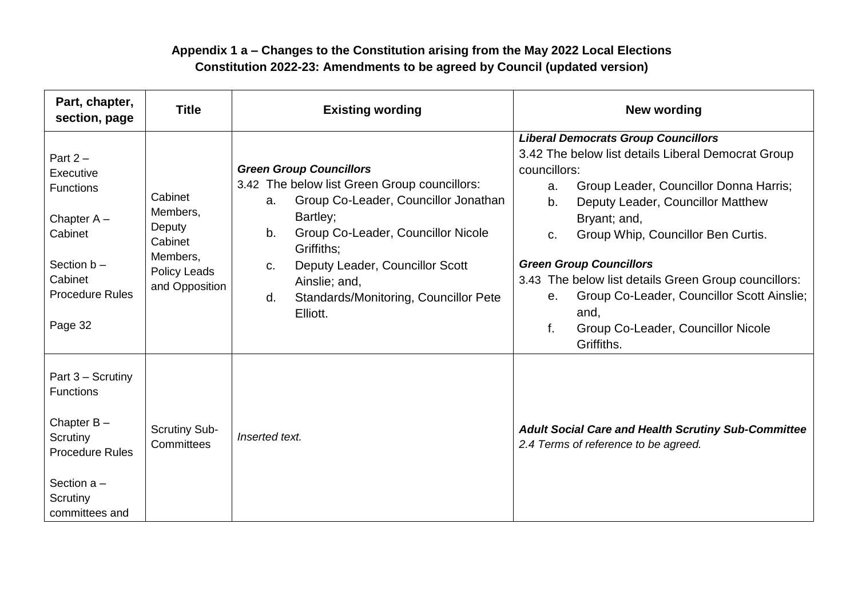## **Appendix 1 a – Changes to the Constitution arising from the May 2022 Local Elections Constitution 2022-23: Amendments to be agreed by Council (updated version)**

| Part, chapter,<br>section, page                                                                                                             | <b>Title</b>                                                                                  | <b>Existing wording</b>                                                                                                                                                                                                                                                                                                 | <b>New wording</b>                                                                                                                                                                                                                                                                                                                                                                                                                                                                           |  |
|---------------------------------------------------------------------------------------------------------------------------------------------|-----------------------------------------------------------------------------------------------|-------------------------------------------------------------------------------------------------------------------------------------------------------------------------------------------------------------------------------------------------------------------------------------------------------------------------|----------------------------------------------------------------------------------------------------------------------------------------------------------------------------------------------------------------------------------------------------------------------------------------------------------------------------------------------------------------------------------------------------------------------------------------------------------------------------------------------|--|
| Part $2 -$<br>Executive<br>Functions<br>Chapter $A -$<br>Cabinet<br>Section $b -$<br>Cabinet<br><b>Procedure Rules</b><br>Page 32           | Cabinet<br>Members,<br>Deputy<br>Cabinet<br>Members,<br><b>Policy Leads</b><br>and Opposition | <b>Green Group Councillors</b><br>3.42 The below list Green Group councillors:<br>Group Co-Leader, Councillor Jonathan<br>a.<br>Bartley;<br>Group Co-Leader, Councillor Nicole<br>b.<br>Griffiths;<br>Deputy Leader, Councillor Scott<br>C.<br>Ainslie; and,<br>Standards/Monitoring, Councillor Pete<br>d.<br>Elliott. | <b>Liberal Democrats Group Councillors</b><br>3.42 The below list details Liberal Democrat Group<br>councillors:<br>Group Leader, Councillor Donna Harris;<br>a.<br>Deputy Leader, Councillor Matthew<br>b.<br>Bryant; and,<br>Group Whip, Councillor Ben Curtis.<br>C.<br><b>Green Group Councillors</b><br>3.43 The below list details Green Group councillors:<br>Group Co-Leader, Councillor Scott Ainslie;<br>$e_{1}$<br>and,<br>Group Co-Leader, Councillor Nicole<br>f.<br>Griffiths. |  |
| Part 3 - Scrutiny<br><b>Functions</b><br>Chapter $B -$<br>Scrutiny<br><b>Procedure Rules</b><br>Section $a -$<br>Scrutiny<br>committees and | <b>Scrutiny Sub-</b><br>Committees                                                            | Inserted text.                                                                                                                                                                                                                                                                                                          | <b>Adult Social Care and Health Scrutiny Sub-Committee</b><br>2.4 Terms of reference to be agreed.                                                                                                                                                                                                                                                                                                                                                                                           |  |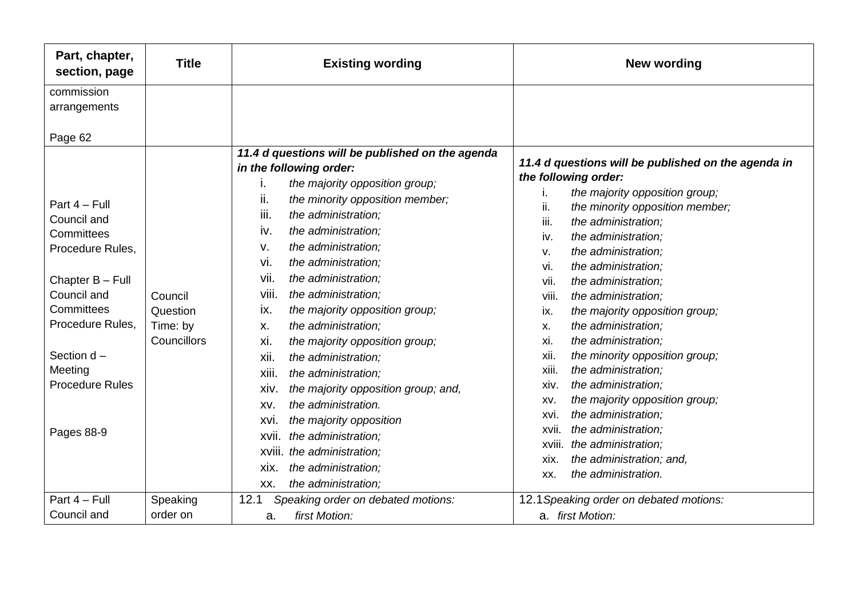| Part, chapter,<br>section, page                                                                                                                                                                   | <b>Title</b>                                   | <b>Existing wording</b>                                                                                                                                                                                                                                                                                                                                                                                                                                                                                                                                                                                         | <b>New wording</b>                                                                                                                                                                                                                                                                                                                                                                                                                                                                                                                                                                                                                        |  |
|---------------------------------------------------------------------------------------------------------------------------------------------------------------------------------------------------|------------------------------------------------|-----------------------------------------------------------------------------------------------------------------------------------------------------------------------------------------------------------------------------------------------------------------------------------------------------------------------------------------------------------------------------------------------------------------------------------------------------------------------------------------------------------------------------------------------------------------------------------------------------------------|-------------------------------------------------------------------------------------------------------------------------------------------------------------------------------------------------------------------------------------------------------------------------------------------------------------------------------------------------------------------------------------------------------------------------------------------------------------------------------------------------------------------------------------------------------------------------------------------------------------------------------------------|--|
| commission<br>arrangements                                                                                                                                                                        |                                                |                                                                                                                                                                                                                                                                                                                                                                                                                                                                                                                                                                                                                 |                                                                                                                                                                                                                                                                                                                                                                                                                                                                                                                                                                                                                                           |  |
| Page 62<br>Part 4 - Full<br>Council and<br>Committees<br>Procedure Rules,<br>Chapter B - Full<br>Council and<br>Committees<br>Procedure Rules,<br>Section d-<br>Meeting<br><b>Procedure Rules</b> | Council<br>Question<br>Time: by<br>Councillors | 11.4 d questions will be published on the agenda<br>in the following order:<br>the majority opposition group;<br>i.<br>ii.<br>the minority opposition member;<br>iii.<br>the administration;<br>iv.<br>the administration;<br>the administration;<br>v.<br>the administration;<br>vi.<br>the administration;<br>vii.<br>viii.<br>the administration;<br>the majority opposition group;<br>ix.<br>the administration;<br>Χ.<br>xi.<br>the majority opposition group;<br>xii.<br>the administration;<br>xiii.<br>the administration;<br>the majority opposition group; and,<br>xiv.<br>the administration.<br>XV. | 11.4 d questions will be published on the agenda in<br>the following order:<br>the majority opposition group;<br>i.<br>ii.<br>the minority opposition member;<br>iii.<br>the administration;<br>the administration;<br>iv.<br>the administration;<br>v.<br>the administration;<br>vi.<br>vii.<br>the administration;<br>viii.<br>the administration;<br>the majority opposition group;<br>ix.<br>the administration;<br>Х.<br>the administration;<br>xi.<br>the minority opposition group;<br>xii.<br>the administration;<br>xiii.<br>the administration;<br>xiv.<br>the majority opposition group;<br>XV.<br>the administration;<br>xvi. |  |
| Pages 88-9                                                                                                                                                                                        |                                                | the majority opposition<br>XVI.<br>the administration;<br>XVII.<br>xviii. the administration;<br>the administration;<br>xix.<br>the administration;<br>XX.                                                                                                                                                                                                                                                                                                                                                                                                                                                      | the administration;<br>xvii.<br>the administration;<br>XVIII.<br>the administration; and,<br>xix.<br>the administration.<br>XX.                                                                                                                                                                                                                                                                                                                                                                                                                                                                                                           |  |
| Part 4 - Full<br>Council and                                                                                                                                                                      | Speaking<br>order on                           | 12.1<br>Speaking order on debated motions:<br>first Motion:<br>a.                                                                                                                                                                                                                                                                                                                                                                                                                                                                                                                                               | 12.1 Speaking order on debated motions:<br>a. first Motion:                                                                                                                                                                                                                                                                                                                                                                                                                                                                                                                                                                               |  |